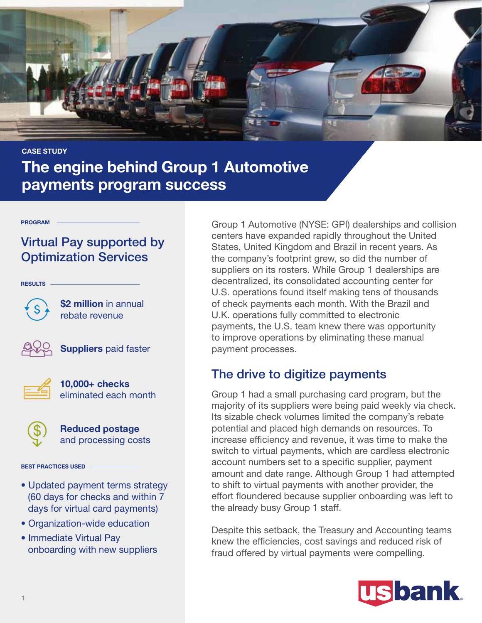

# CASE STUDY The engine behind Group 1 Automotive payments program success

#### PROGRAM

## Virtual Pay supported by Optimization Services

RESULTS

\$2 million in annual rebate revenue



**Suppliers** paid faster



10,000+ checks eliminated each month



Reduced postage and processing costs

### BEST PRACTICES USED

- Updated payment terms strategy (60 days for checks and within 7 days for virtual card payments)
- Organization-wide education
- Immediate Virtual Pay onboarding with new suppliers

Group 1 Automotive (NYSE: GPI) dealerships and collision centers have expanded rapidly throughout the United States, United Kingdom and Brazil in recent years. As the company's footprint grew, so did the number of suppliers on its rosters. While Group 1 dealerships are decentralized, its consolidated accounting center for U.S. operations found itself making tens of thousands of check payments each month. With the Brazil and U.K. operations fully committed to electronic payments, the U.S. team knew there was opportunity to improve operations by eliminating these manual payment processes.

### The drive to digitize payments

Group 1 had a small purchasing card program, but the majority of its suppliers were being paid weekly via check. Its sizable check volumes limited the company's rebate potential and placed high demands on resources. To increase efficiency and revenue, it was time to make the switch to virtual payments, which are cardless electronic account numbers set to a specific supplier, payment amount and date range. Although Group 1 had attempted to shift to virtual payments with another provider, the effort floundered because supplier onboarding was left to the already busy Group 1 staff.

Despite this setback, the Treasury and Accounting teams knew the efficiencies, cost savings and reduced risk of fraud offered by virtual payments were compelling.

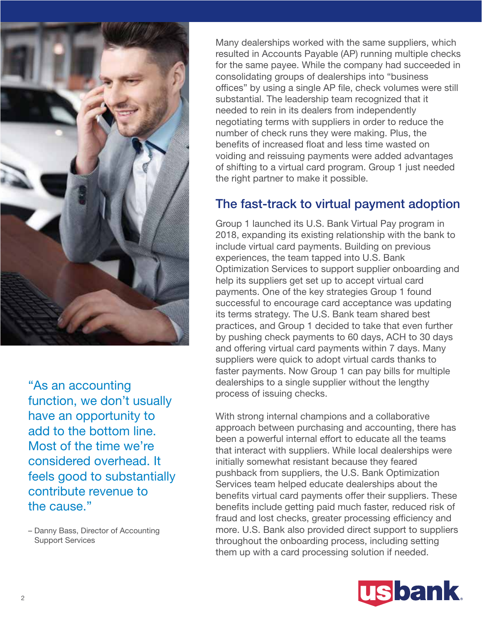

"As an accounting function, we don't usually have an opportunity to add to the bottom line. Most of the time we're considered overhead. It feels good to substantially contribute revenue to the cause."

– Danny Bass, Director of Accounting Support Services

Many dealerships worked with the same suppliers, which resulted in Accounts Payable (AP) running multiple checks for the same payee. While the company had succeeded in consolidating groups of dealerships into "business offices" by using a single AP file, check volumes were still substantial. The leadership team recognized that it needed to rein in its dealers from independently negotiating terms with suppliers in order to reduce the number of check runs they were making. Plus, the benefits of increased float and less time wasted on voiding and reissuing payments were added advantages of shifting to a virtual card program. Group 1 just needed the right partner to make it possible.

### The fast-track to virtual payment adoption

Group 1 launched its U.S. Bank Virtual Pay program in 2018, expanding its existing relationship with the bank to include virtual card payments. Building on previous experiences, the team tapped into U.S. Bank Optimization Services to support supplier onboarding and help its suppliers get set up to accept virtual card payments. One of the key strategies Group 1 found successful to encourage card acceptance was updating its terms strategy. The U.S. Bank team shared best practices, and Group 1 decided to take that even further by pushing check payments to 60 days, ACH to 30 days and offering virtual card payments within 7 days. Many suppliers were quick to adopt virtual cards thanks to faster payments. Now Group 1 can pay bills for multiple dealerships to a single supplier without the lengthy process of issuing checks.

With strong internal champions and a collaborative approach between purchasing and accounting, there has been a powerful internal effort to educate all the teams that interact with suppliers. While local dealerships were initially somewhat resistant because they feared pushback from suppliers, the U.S. Bank Optimization Services team helped educate dealerships about the benefits virtual card payments offer their suppliers. These benefits include getting paid much faster, reduced risk of fraud and lost checks, greater processing efficiency and more. U.S. Bank also provided direct support to suppliers throughout the onboarding process, including setting them up with a card processing solution if needed.